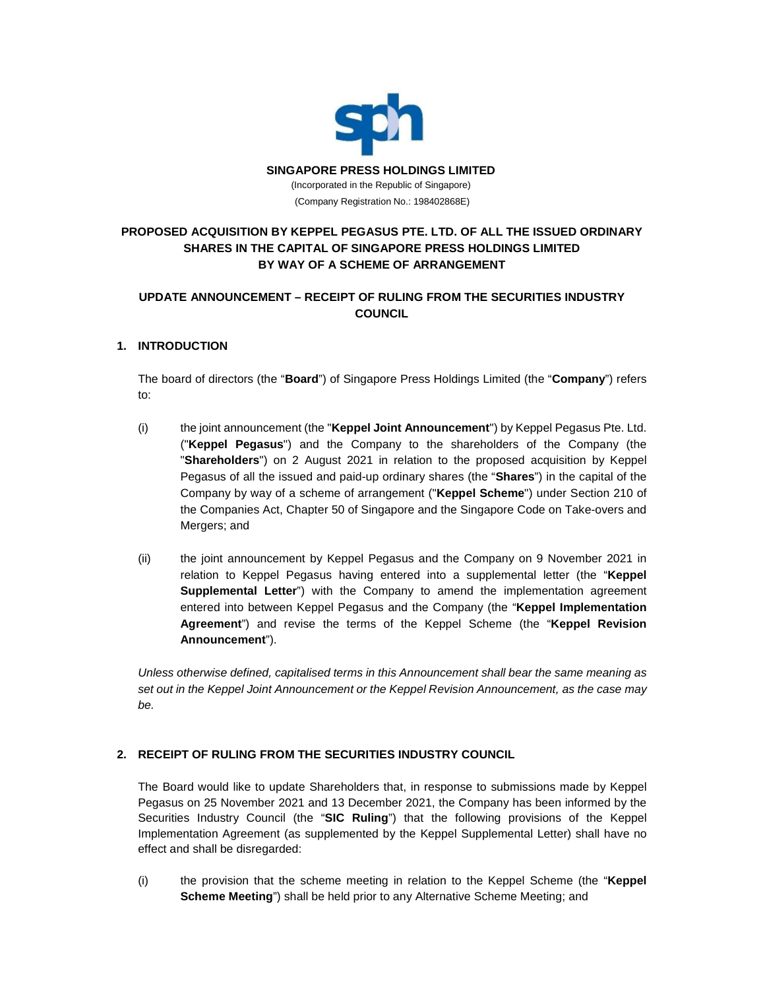

# **PROPOSED ACQUISITION BY KEPPEL PEGASUS PTE. LTD. OF ALL THE ISSUED ORDINARY SHARES IN THE CAPITAL OF SINGAPORE PRESS HOLDINGS LIMITED BY WAY OF A SCHEME OF ARRANGEMENT**

## **UPDATE ANNOUNCEMENT – RECEIPT OF RULING FROM THE SECURITIES INDUSTRY COUNCIL**

### **1. INTRODUCTION**

The board of directors (the "**Board**") of Singapore Press Holdings Limited (the "**Company**") refers to:

- (i) the joint announcement (the "**Keppel Joint Announcement**") by Keppel Pegasus Pte. Ltd. ("**Keppel Pegasus**") and the Company to the shareholders of the Company (the "**Shareholders**") on 2 August 2021 in relation to the proposed acquisition by Keppel Pegasus of all the issued and paid-up ordinary shares (the "**Shares**") in the capital of the Company by way of a scheme of arrangement ("**Keppel Scheme**") under Section 210 of the Companies Act, Chapter 50 of Singapore and the Singapore Code on Take-overs and Mergers; and
- (ii) the joint announcement by Keppel Pegasus and the Company on 9 November 2021 in relation to Keppel Pegasus having entered into a supplemental letter (the "**Keppel Supplemental Letter**") with the Company to amend the implementation agreement entered into between Keppel Pegasus and the Company (the "**Keppel Implementation Agreement**") and revise the terms of the Keppel Scheme (the "**Keppel Revision Announcement**").

*Unless otherwise defined, capitalised terms in this Announcement shall bear the same meaning as set out in the Keppel Joint Announcement or the Keppel Revision Announcement, as the case may be.*

### **2. RECEIPT OF RULING FROM THE SECURITIES INDUSTRY COUNCIL**

The Board would like to update Shareholders that, in response to submissions made by Keppel Pegasus on 25 November 2021 and 13 December 2021, the Company has been informed by the Securities Industry Council (the "**SIC Ruling**") that the following provisions of the Keppel Implementation Agreement (as supplemented by the Keppel Supplemental Letter) shall have no effect and shall be disregarded:

(i) the provision that the scheme meeting in relation to the Keppel Scheme (the "**Keppel Scheme Meeting**") shall be held prior to any Alternative Scheme Meeting; and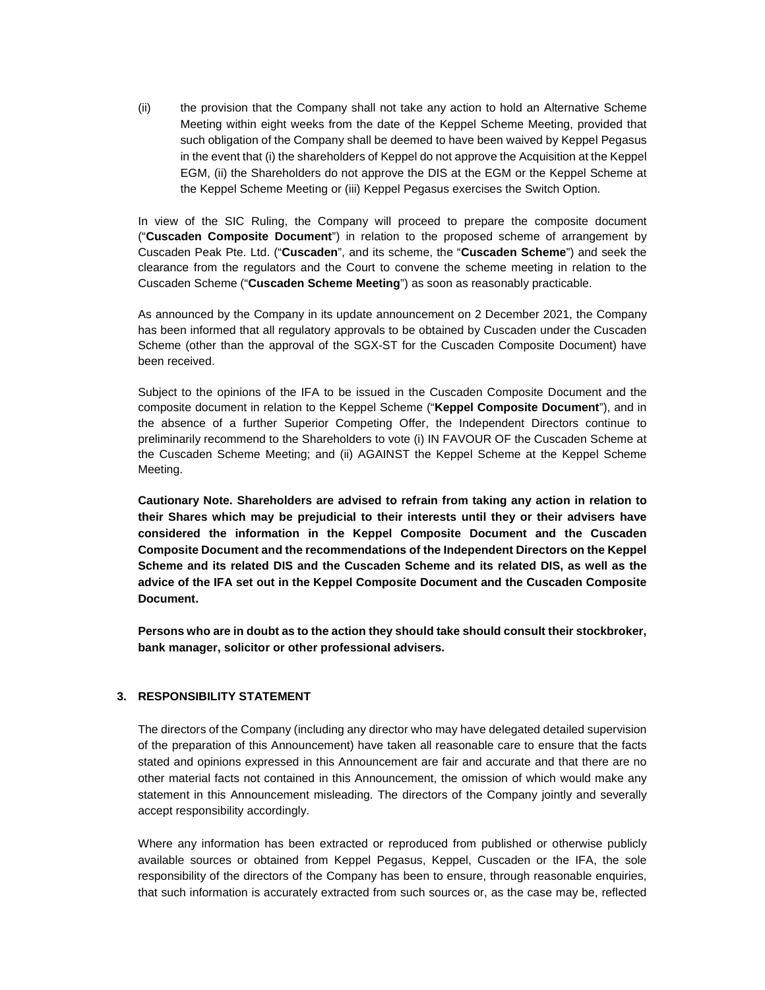(ii) the provision that the Company shall not take any action to hold an Alternative Scheme Meeting within eight weeks from the date of the Keppel Scheme Meeting, provided that such obligation of the Company shall be deemed to have been waived by Keppel Pegasus in the event that (i) the shareholders of Keppel do not approve the Acquisition at the Keppel EGM, (ii) the Shareholders do not approve the DIS at the EGM or the Keppel Scheme at the Keppel Scheme Meeting or (iii) Keppel Pegasus exercises the Switch Option.

In view of the SIC Ruling, the Company will proceed to prepare the composite document ("**Cuscaden Composite Document**") in relation to the proposed scheme of arrangement by Cuscaden Peak Pte. Ltd. ("**Cuscaden**", and its scheme, the "**Cuscaden Scheme**") and seek the clearance from the regulators and the Court to convene the scheme meeting in relation to the Cuscaden Scheme ("**Cuscaden Scheme Meeting**") as soon as reasonably practicable.

As announced by the Company in its update announcement on 2 December 2021, the Company has been informed that all regulatory approvals to be obtained by Cuscaden under the Cuscaden Scheme (other than the approval of the SGX-ST for the Cuscaden Composite Document) have been received.

Subject to the opinions of the IFA to be issued in the Cuscaden Composite Document and the composite document in relation to the Keppel Scheme ("**Keppel Composite Document**"), and in the absence of a further Superior Competing Offer, the Independent Directors continue to preliminarily recommend to the Shareholders to vote (i) IN FAVOUR OF the Cuscaden Scheme at the Cuscaden Scheme Meeting; and (ii) AGAINST the Keppel Scheme at the Keppel Scheme Meeting.

**Cautionary Note. Shareholders are advised to refrain from taking any action in relation to their Shares which may be prejudicial to their interests until they or their advisers have considered the information in the Keppel Composite Document and the Cuscaden Composite Document and the recommendations of the Independent Directors on the Keppel Scheme and its related DIS and the Cuscaden Scheme and its related DIS, as well as the advice of the IFA set out in the Keppel Composite Document and the Cuscaden Composite Document.**

**Persons who are in doubt as to the action they should take should consult their stockbroker, bank manager, solicitor or other professional advisers.**

#### **3. RESPONSIBILITY STATEMENT**

The directors of the Company (including any director who may have delegated detailed supervision of the preparation of this Announcement) have taken all reasonable care to ensure that the facts stated and opinions expressed in this Announcement are fair and accurate and that there are no other material facts not contained in this Announcement, the omission of which would make any statement in this Announcement misleading. The directors of the Company jointly and severally accept responsibility accordingly.

Where any information has been extracted or reproduced from published or otherwise publicly available sources or obtained from Keppel Pegasus, Keppel, Cuscaden or the IFA, the sole responsibility of the directors of the Company has been to ensure, through reasonable enquiries, that such information is accurately extracted from such sources or, as the case may be, reflected